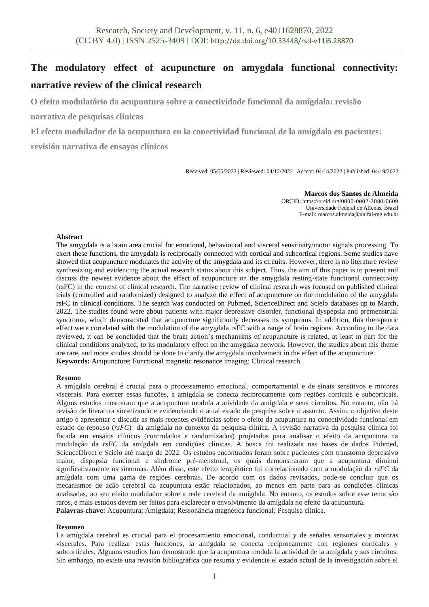# **The modulatory effect of acupuncture on amygdala functional connectivity: narrative review of the clinical research**

**O efeito modulatório da acupuntura sobre a conectividade funcional da amígdala: revisão** 

**narrativa de pesquisas clínicas** 

**El efecto modulador de la acupuntura en la conectividad funcional de la amígdala en pacientes:** 

**revisión narrativa de ensayos clínicos** 

Received: 05/05/2022 | Reviewed: 04/12/2022 | Accept: 04/14/2022 | Published: 04/19/2022

**Marcos dos Santos de Almeida** ORCID: https://orcid.org/0000-0002-2080-0609 Universidade Federal de Alfenas, Brazil E-mail: marcos.almeida@unifal-mg.edu.br

### **Abstract**

The amygdala is a brain area crucial for emotional, behavioural and visceral sensitivity/motor signals processing. To exert these functions, the amygdala is reciprocally connected with cortical and subcortical regions. Some studies have showed that acupuncture modulates the activity of the amygdala and its circuits. However, there is no literature review synthesizing and evidencing the actual research status about this subject. Thus, the aim of this paper is to present and discuss the newest evidence about the effect of acupuncture on the amygdala resting-state functional connectivity (rsFC) in the context of clinical research. The narrative review of clinical research was focused on published clinical trials (controlled and randomized) designed to analyze the effect of acupuncture on the modulation of the amygdala rsFC in clinical conditions. The search was conducted on Pubmed, ScienceDirect and Scielo databases up to March, 2022. The studies found were about patients with major depressive disorder, functional dyspepsia and premenstrual syndrome, which demonstrated that acupuncture significantly decreases its symptoms. In addition, this therapeutic effect were correlated with the modulation of the amygdala rsFC with a range of brain regions. According to the data reviewed, it can be concluded that the brain action's mechanisms of acupuncture is related, at least in part for the clinical conditions analyzed, to its modulatory effect on the amygdala network. However, the studies about this theme are rare, and more studies should be done to clarify the amygdala involvement in the effect of the acupuncture. **Keywords:** Acupuncture; Functional magnetic resonance imaging; Clinical research.

#### **Resumo**

A amígdala cerebral é crucial para o processamento emocional, comportamental e de sinais sensitivos e motores viscerais. Para exercer essas funções, a amígdala se conecta reciprocamente com regiões corticais e subcorticais. Alguns estudos mostraram que a acupuntura modula a atividade da amígdala e seus circuitos. No entanto, não há revisão de literatura sintetizando e evidenciando o atual estado de pesquisa sobre o assunto. Assim, o objetivo deste artigo é apresentar e discutir as mais recentes evidências sobre o efeito da acupuntura na conectividade funcional em estado de repouso (*rsFC*) da amígdala no contexto da pesquisa clínica. A revisão narrativa da pesquisa clínica foi focada em ensaios clínicos (controlados e randomizados) projetados para analisar o efeito da acupuntura na modulação da *rsFC* da amígdala em condições clínicas. A busca foi realizada nas bases de dados Pubmed, ScienceDirect e Scielo até março de 2022. Os estudos encontrados foram sobre pacientes com transtorno depressivo maior, dispepsia funcional e síndrome pré-menstrual, os quais demonstraram que a acupuntura diminui significativamente os sintomas. Além disso, este efeito terapêutico foi correlacionado com a modulação da *rsFC* da amígdala com uma gama de regiões cerebrais. De acordo com os dados revisados, pode-se concluir que os mecanismos de ação cerebral da acupuntura estão relacionados, ao menos em parte para as condições clínicas analisadas, ao seu efeito modulador sobre a rede cerebral da amígdala. No entanto, os estudos sobre esse tema são raros, e mais estudos devem ser feitos para esclarecer o envolvimento da amígdala no efeito da acupuntura. **Palavras-chave:** Acupuntura; Amígdala; Ressonância magnética funcional; Pesquisa clinica.

#### **Resumen**

La amígdala cerebral es crucial para el procesamiento emocional, conductual y de señales sensoriales y motoras viscerales. Para realizar estas funciones, la amígdala se conecta recíprocamente con regiones corticales y subcorticales. Algunos estudios han demostrado que la acupuntura modula la actividad de la amígdala y sus circuitos. Sin embargo, no existe una revisión bibliográfica que resuma y evidencie el estado actual de la investigación sobre el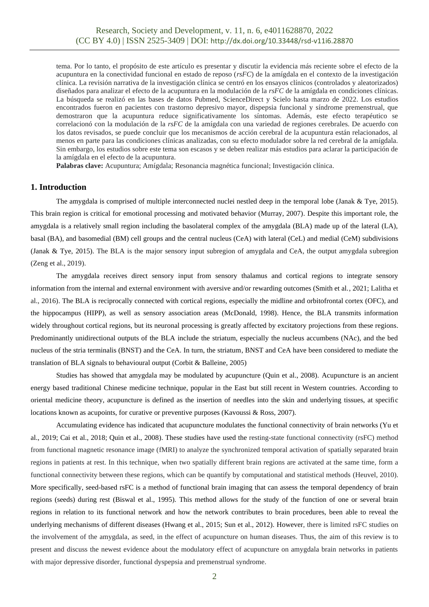tema. Por lo tanto, el propósito de este artículo es presentar y discutir la evidencia más reciente sobre el efecto de la acupuntura en la conectividad funcional en estado de reposo (*rsFC*) de la amígdala en el contexto de la investigación clínica. La revisión narrativa de la investigación clínica se centró en los ensayos clínicos (controlados y aleatorizados) diseñados para analizar el efecto de la acupuntura en la modulación de la *rsFC* de la amígdala en condiciones clínicas. La búsqueda se realizó en las bases de datos Pubmed, ScienceDirect y Scielo hasta marzo de 2022. Los estudios encontrados fueron en pacientes con trastorno depresivo mayor, dispepsia funcional y síndrome premenstrual, que demostraron que la acupuntura reduce significativamente los síntomas. Además, este efecto terapéutico se correlacionó con la modulación de la *rsFC* de la amígdala con una variedad de regiones cerebrales. De acuerdo con los datos revisados, se puede concluir que los mecanismos de acción cerebral de la acupuntura están relacionados, al menos en parte para las condiciones clínicas analizadas, con su efecto modulador sobre la red cerebral de la amígdala. Sin embargo, los estudios sobre este tema son escasos y se deben realizar más estudios para aclarar la participación de la amígdala en el efecto de la acupuntura.

**Palabras clave:** Acupuntura; Amígdala; Resonancia magnética funcional; Investigación clínica.

# **1. Introduction**

The amygdala is comprised of multiple interconnected nuclei nestled deep in the temporal lobe (Janak & Tye, 2015). This brain region is critical for emotional processing and motivated behavior (Murray, 2007). Despite this important role, the amygdala is a relatively small region including the basolateral complex of the amygdala (BLA) made up of the lateral (LA), basal (BA), and basomedial (BM) cell groups and the central nucleus (CeA) with lateral (CeL) and medial (CeM) subdivisions (Janak & Tye, 2015). The BLA is the major sensory input subregion of amygdala and CeA, the output amygdala subregion (Zeng et al., 2019).

The amygdala receives direct sensory input from sensory thalamus and cortical regions to integrate sensory information from the internal and external environment with aversive and/or rewarding outcomes (Smith et al., 2021; Lalitha et al., 2016). The BLA is reciprocally connected with cortical regions, especially the midline and orbitofrontal cortex (OFC), and the hippocampus (HIPP), as well as sensory association areas (McDonald, 1998). Hence, the BLA transmits information widely throughout cortical regions, but its neuronal processing is greatly affected by excitatory projections from these regions. Predominantly unidirectional outputs of the BLA include the striatum, especially the nucleus accumbens (NAc), and the bed nucleus of the stria terminalis (BNST) and the CeA. In turn, the striatum, BNST and CeA have been considered to mediate the translation of BLA signals to behavioural output (Corbit & Balleine, 2005)

Studies has showed that amygdala may be modulated by acupuncture (Quin et al., 2008). Acupuncture is an ancient energy based traditional Chinese medicine technique, popular in the East but still recent in Western countries. According to oriental medicine theory, acupuncture is defined as the insertion of needles into the skin and underlying tissues, at specific locations known as acupoints, for curative or preventive purposes (Kavoussi & Ross, 2007).

Accumulating evidence has indicated that acupuncture modulates the functional connectivity of brain networks (Yu et al., 2019; Cai et al., 2018; Quin et al., 2008). These studies have used the resting-state functional connectivity (rsFC) method from functional magnetic resonance image (fMRI) to analyze the synchronized temporal activation of spatially separated brain regions in patients at rest. In this technique, when two spatially different brain regions are activated at the same time, form a functional connectivity between these regions, which can be quantify by computational and statistical methods (Heuvel, 2010). More specifically, seed-based rsFC is a method of functional brain imaging that can assess the temporal dependency of brain regions (seeds) during rest (Biswal et al., 1995). This method allows for the study of the function of one or several brain regions in relation to its functional network and how the network contributes to brain procedures, been able to reveal the underlying mechanisms of different diseases (Hwang et al., 2015; Sun et al., 2012). However, there is limited rsFC studies on the involvement of the amygdala, as seed, in the effect of acupuncture on human diseases. Thus, the aim of this review is to present and discuss the newest evidence about the modulatory effect of acupuncture on amygdala brain networks in patients with major depressive disorder, functional dyspepsia and premenstrual syndrome.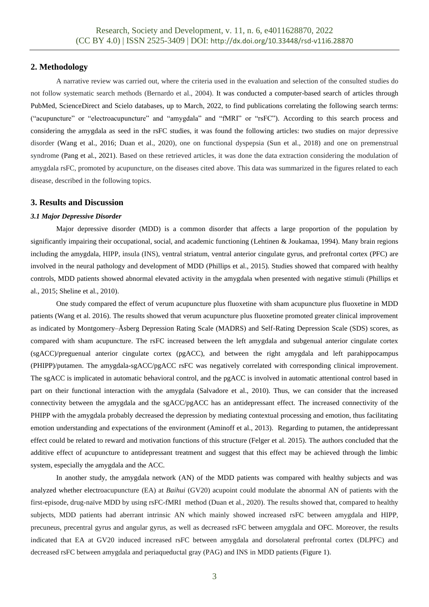# **2. Methodology**

A narrative review was carried out, where the criteria used in the evaluation and selection of the consulted studies do not follow systematic search methods (Bernardo et al., 2004). It was conducted a computer-based search of articles through PubMed, ScienceDirect and Scielo databases, up to March, 2022, to find publications correlating the following search terms: ("acupuncture" or "electroacupuncture" and "amygdala" and "fMRI" or "rsFC"). According to this search process and considering the amygdala as seed in the rsFC studies, it was found the following articles: two studies on major depressive disorder (Wang et al., 2016; Duan et al., 2020), one on functional dyspepsia (Sun et al., 2018) and one on premenstrual syndrome (Pang et al., 2021). Based on these retrieved articles, it was done the data extraction considering the modulation of amygdala rsFC, promoted by acupuncture, on the diseases cited above. This data was summarized in the figures related to each disease, described in the following topics.

## **3. Results and Discussion**

#### *3.1 Major Depressive Disorder*

Major depressive disorder (MDD) is a common disorder that affects a large proportion of the population by significantly impairing their occupational, social, and academic functioning (Lehtinen & Joukamaa, 1994). Many brain regions including the amygdala, HIPP, insula (INS), ventral striatum, ventral anterior cingulate gyrus, and prefrontal cortex (PFC) are involved in the neural pathology and development of MDD (Phillips et al., 2015). Studies showed that compared with healthy controls, MDD patients showed abnormal elevated activity in the amygdala when presented with negative stimuli (Phillips et al., 2015; Sheline et al., 2010).

One study compared the effect of verum acupuncture plus fluoxetine with sham acupuncture plus fluoxetine in MDD patients (Wang et al. 2016). The results showed that verum acupuncture plus fluoxetine promoted greater clinical improvement as indicated by Montgomery–Åsberg Depression Rating Scale (MADRS) and Self-Rating Depression Scale (SDS) scores, as compared with sham acupuncture. The rsFC increased between the left amygdala and subgenual anterior cingulate cortex (sgACC)/preguenual anterior cingulate cortex (pgACC), and between the right amygdala and left parahippocampus (PHIPP)/putamen. The amygdala-sgACC/pgACC rsFC was negatively correlated with corresponding clinical improvement. The sgACC is implicated in automatic behavioral control, and the pgACC is involved in automatic attentional control based in part on their functional interaction with the amygdala (Salvadore et al., 2010). Thus, we can consider that the increased connectivity between the amygdala and the sgACC/pgACC has an antidepressant effect. The increased connectivity of the PHIPP with the amygdala probably decreased the depression by mediating contextual processing and emotion, thus facilitating emotion understanding and expectations of the environment (Aminoff et al., 2013). Regarding to putamen, the antidepressant effect could be related to reward and motivation functions of this structure (Felger et al. 2015). The authors concluded that the additive effect of acupuncture to antidepressant treatment and suggest that this effect may be achieved through the limbic system, especially the amygdala and the ACC.

In another study, the amygdala network (AN) of the MDD patients was compared with healthy subjects and was analyzed whether electroacupuncture (EA) at *Baihui* (GV20) acupoint could modulate the abnormal AN of patients with the first-episode, drug-naïve MDD by using rsFC-fMRI method (Duan et al., 2020). The results showed that, compared to healthy subjects, MDD patients had aberrant intrinsic AN which mainly showed increased rsFC between amygdala and HIPP, precuneus, precentral gyrus and angular gyrus, as well as decreased rsFC between amygdala and OFC. Moreover, the results indicated that EA at GV20 induced increased rsFC between amygdala and dorsolateral prefrontal cortex (DLPFC) and decreased rsFC between amygdala and periaqueductal gray (PAG) and INS in MDD patients (Figure 1).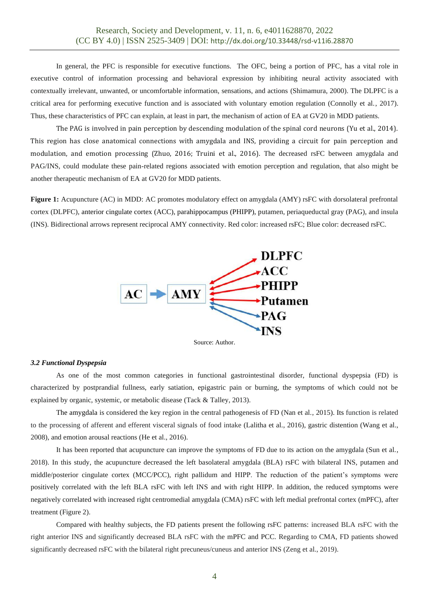In general, the PFC is responsible for executive functions. The OFC, being a portion of PFC, has a vital role in executive control of information processing and behavioral expression by inhibiting neural activity associated with contextually irrelevant, unwanted, or uncomfortable information, sensations, and actions (Shimamura, 2000). The DLPFC is a critical area for performing executive function and is associated with voluntary emotion regulation (Connolly et al., 2017). Thus, these characteristics of PFC can explain, at least in part, the mechanism of action of EA at GV20 in MDD patients.

The PAG is involved in pain perception by descending modulation of the spinal cord neurons (Yu et al., 2014). This region has close anatomical connections with amygdala and INS, providing a circuit for pain perception and modulation, and emotion processing (Zhuo, 2016; Truini et al., 2016). The decreased rsFC between amygdala and PAG/INS, could modulate these pain-related regions associated with emotion perception and regulation, that also might be another therapeutic mechanism of EA at GV20 for MDD patients.

**Figure 1:** Acupuncture (AC) in MDD: AC promotes modulatory effect on amygdala (AMY) rsFC with dorsolateral prefrontal cortex (DLPFC), anterior cingulate cortex (ACC), parahippocampus (PHIPP), putamen, periaqueductal gray (PAG), and insula (INS). Bidirectional arrows represent reciprocal AMY connectivity. Red color: increased rsFC; Blue color: decreased rsFC.



## Source: Author.

#### *3.2 Functional Dyspepsia*

As one of the most common categories in functional gastrointestinal disorder, functional dyspepsia (FD) is characterized by postprandial fullness, early satiation, epigastric pain or burning, the symptoms of which could not be explained by organic, systemic, or metabolic disease (Tack & Talley, 2013).

The amygdala is considered the key region in the central pathogenesis of FD (Nan et al., 2015). Its function is related to the processing of afferent and efferent visceral signals of food intake (Lalitha et al., 2016), gastric distention (Wang et al., 2008), and emotion arousal reactions (He et al., 2016).

It has been reported that acupuncture can improve the symptoms of FD due to its action on the amygdala (Sun et al., 2018). In this study, the acupuncture decreased the left basolateral amygdala (BLA) rsFC with bilateral INS, putamen and middle/posterior cingulate cortex (MCC/PCC), right pallidum and HIPP. The reduction of the patient's symptoms were positively correlated with the left BLA rsFC with left INS and with right HIPP. In addition, the reduced symptoms were negatively correlated with increased right centromedial amygdala (CMA) rsFC with left medial prefrontal cortex (mPFC), after treatment (Figure 2).

Compared with healthy subjects, the FD patients present the following rsFC patterns: increased BLA rsFC with the right anterior INS and significantly decreased BLA rsFC with the mPFC and PCC. Regarding to CMA, FD patients showed significantly decreased rsFC with the bilateral right precuneus/cuneus and anterior INS (Zeng et al., 2019).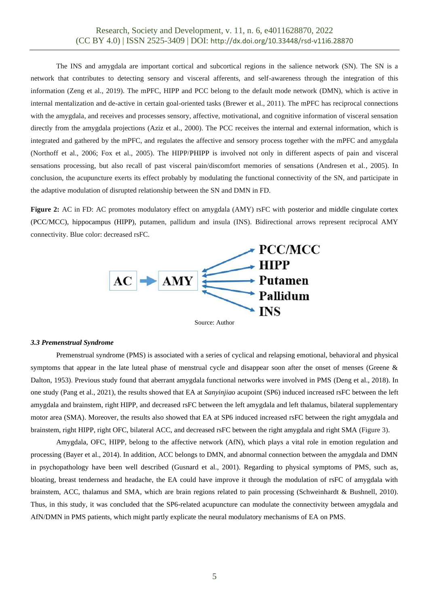The INS and amygdala are important cortical and subcortical regions in the salience network (SN). The SN is a network that contributes to detecting sensory and visceral afferents, and self-awareness through the integration of this information (Zeng et al., 2019). The mPFC, HIPP and PCC belong to the default mode network (DMN), which is active in internal mentalization and de-active in certain goal-oriented tasks (Brewer et al., 2011). The mPFC has reciprocal connections with the amygdala, and receives and processes sensory, affective, motivational, and cognitive information of visceral sensation directly from the amygdala projections (Aziz et al., 2000). The PCC receives the internal and external information, which is integrated and gathered by the mPFC, and regulates the affective and sensory process together with the mPFC and amygdala (Northoff et al., 2006; Fox et al., 2005). The HIPP/PHIPP is involved not only in different aspects of pain and visceral sensations processing, but also recall of past visceral pain/discomfort memories of sensations (Andresen et al., 2005). In conclusion, the acupuncture exerts its effect probably by modulating the functional connectivity of the SN, and participate in the adaptive modulation of disrupted relationship between the SN and DMN in FD.

**Figure 2:** AC in FD: AC promotes modulatory effect on amygdala (AMY) rsFC with posterior and middle cingulate cortex (PCC/MCC), hippocampus (HIPP), putamen, pallidum and insula (INS). Bidirectional arrows represent reciprocal AMY connectivity. Blue color: decreased rsFC.



#### *3.3 Premenstrual Syndrome*

Premenstrual syndrome (PMS) is associated with a series of cyclical and relapsing emotional, behavioral and physical symptoms that appear in the late luteal phase of menstrual cycle and disappear soon after the onset of menses (Greene & Dalton, 1953). Previous study found that aberrant amygdala functional networks were involved in PMS (Deng et al., 2018). In one study (Pang et al., 2021), the results showed that EA at *Sanyinjiao* acupoint (SP6) induced increased rsFC between the left amygdala and brainstem, right HIPP, and decreased rsFC between the left amygdala and left thalamus, bilateral supplementary motor area (SMA). Moreover, the results also showed that EA at SP6 induced increased rsFC between the right amygdala and brainstem, right HIPP, right OFC, bilateral ACC, and decreased rsFC between the right amygdala and right SMA (Figure 3).

Amygdala, OFC, HIPP, belong to the affective network (AfN), which plays a vital role in emotion regulation and processing (Bayer et al., 2014). In addition, ACC belongs to DMN, and abnormal connection between the amygdala and DMN in psychopathology have been well described (Gusnard et al., 2001). Regarding to physical symptoms of PMS, such as, bloating, breast tenderness and headache, the EA could have improve it through the modulation of rsFC of amygdala with brainstem, ACC, thalamus and SMA, which are brain regions related to pain processing (Schweinhardt & Bushnell, 2010). Thus, in this study, it was concluded that the SP6-related acupuncture can modulate the connectivity between amygdala and AfN/DMN in PMS patients, which might partly explicate the neural modulatory mechanisms of EA on PMS.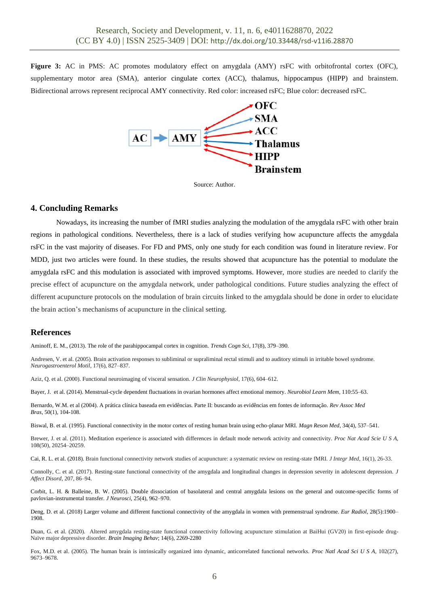**Figure 3:** AC in PMS: AC promotes modulatory effect on amygdala (AMY) rsFC with orbitofrontal cortex (OFC), supplementary motor area (SMA), anterior cingulate cortex (ACC), thalamus, hippocampus (HIPP) and brainstem. Bidirectional arrows represent reciprocal AMY connectivity. Red color: increased rsFC; Blue color: decreased rsFC.



Source: Author.

# **4. Concluding Remarks**

Nowadays, its increasing the number of fMRI studies analyzing the modulation of the amygdala rsFC with other brain regions in pathological conditions. Nevertheless, there is a lack of studies verifying how acupuncture affects the amygdala rsFC in the vast majority of diseases. For FD and PMS, only one study for each condition was found in literature review. For MDD, just two articles were found. In these studies, the results showed that acupuncture has the potential to modulate the amygdala rsFC and this modulation is associated with improved symptoms. However, more studies are needed to clarify the precise effect of acupuncture on the amygdala network, under pathological conditions. Future studies analyzing the effect of different acupuncture protocols on the modulation of brain circuits linked to the amygdala should be done in order to elucidate the brain action's mechanisms of acupuncture in the clinical setting.

## **References**

Aminoff, E. M., (2013). The role of the parahippocampal cortex in cognition. *Trends Cogn Sci*, 17(8), 379–390.

Andresen, V. et al. (2005). Brain activation responses to subliminal or supraliminal rectal stimuli and to auditory stimuli in irritable bowel syndrome. *Neurogastroenterol Motil*, 17(6), 827–837.

Aziz, Q. et al. (2000). Functional neuroimaging of visceral sensation. *J Clin Neurophysiol*, 17(6), 604–612.

Bayer, J. et al. (2014). Menstrual-cycle dependent fluctuations in ovarian hormones affect emotional memory. *Neurobiol Learn Mem*, 110:55–63.

Bernardo, W.M. et al (2004). A prática clínica baseada em evidências. Parte II: buscando as evidências em fontes de informação. *Rev Assoc Med Bras*, 50(1), 104-108.

Biswal, B. et al. (1995). Functional connectivity in the motor cortex of resting human brain using echo-planar MRI. *Magn Reson Med*, 34(4), 537–541.

Brewer, J. et al. (2011). Meditation experience is associated with differences in default mode network activity and connectivity. *Proc Nat Acad Scie U S A*, 108(50), 20254–20259.

Cai, R. L. et al. (2018). Brain functional connectivity network studies of acupuncture: a systematic review on resting-state fMRI. *J Integr Med*, 16(1), 26-33.

Connolly, C. et al. (2017). Resting-state functional connectivity of the amygdala and longitudinal changes in depression severity in adolescent depression. *J Affect Disord*, 207, 86–94.

Corbit, L. H. & Balleine, B. W. (2005). Double dissociation of basolateral and central amygdala lesions on the general and outcome-specific forms of pavlovian-instrumental transfer. *J Neurosci*, 25(4), 962–970.

Deng, D. et al. (2018) Larger volume and different functional connectivity of the amygdala in women with premenstrual syndrome. *Eur Radiol*, 28(5):1900– 1908.

Duan, G. et al. (2020). Altered amygdala resting-state functional connectivity following acupuncture stimulation at BaiHui (GV20) in first-episode drug-Naïve major depressive disorder. *Brain Imaging Behav*; 14(6), 2269-2280

Fox, M.D. et al. (2005). The human brain is intrinsically organized into dynamic, anticorrelated functional networks. *Proc Natl Acad Sci U S A*, 102(27), 9673–9678.